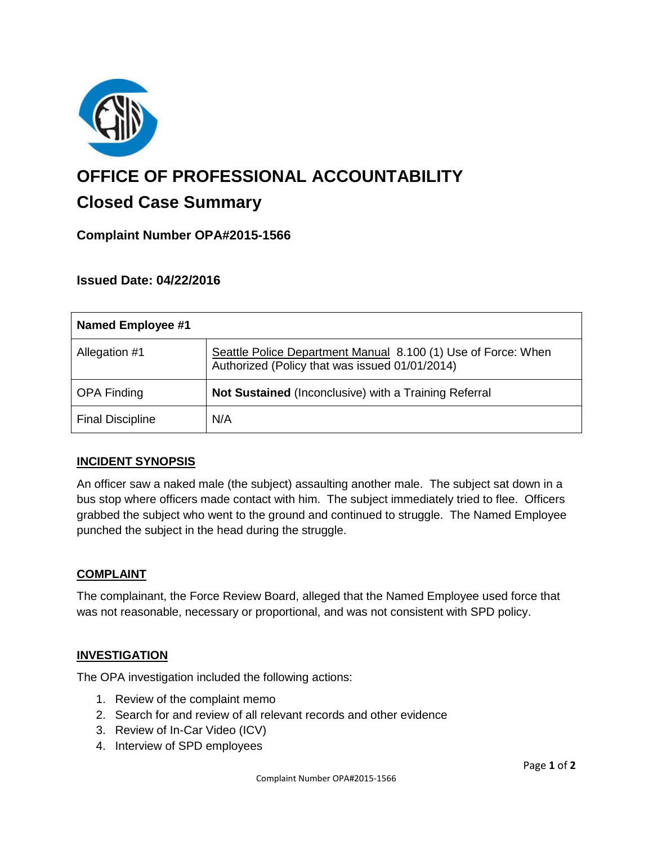

# **OFFICE OF PROFESSIONAL ACCOUNTABILITY Closed Case Summary**

# **Complaint Number OPA#2015-1566**

### **Issued Date: 04/22/2016**

| <b>Named Employee #1</b> |                                                                                                                 |
|--------------------------|-----------------------------------------------------------------------------------------------------------------|
| Allegation #1            | Seattle Police Department Manual 8.100 (1) Use of Force: When<br>Authorized (Policy that was issued 01/01/2014) |
| <b>OPA Finding</b>       | Not Sustained (Inconclusive) with a Training Referral                                                           |
| <b>Final Discipline</b>  | N/A                                                                                                             |

# **INCIDENT SYNOPSIS**

An officer saw a naked male (the subject) assaulting another male. The subject sat down in a bus stop where officers made contact with him. The subject immediately tried to flee. Officers grabbed the subject who went to the ground and continued to struggle. The Named Employee punched the subject in the head during the struggle.

#### **COMPLAINT**

The complainant, the Force Review Board, alleged that the Named Employee used force that was not reasonable, necessary or proportional, and was not consistent with SPD policy.

#### **INVESTIGATION**

The OPA investigation included the following actions:

- 1. Review of the complaint memo
- 2. Search for and review of all relevant records and other evidence
- 3. Review of In-Car Video (ICV)
- 4. Interview of SPD employees